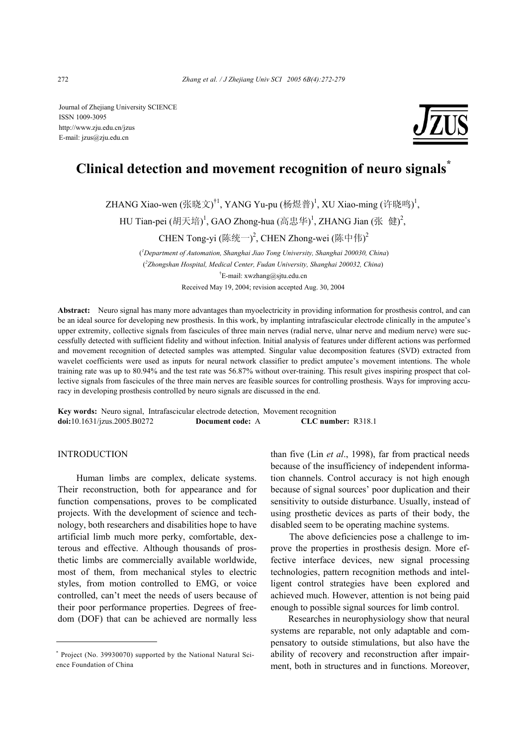Journal of Zhejiang University SCIENCE ISSN 1009-3095 http://www.zju.edu.cn/jzus E-mail: jzus@zju.edu.cn

# **Clinical detection and movement recognition of neuro signals\***

ZHANG Xiao-wen (张晓文)<sup>†1</sup>, YANG Yu-pu (杨煜普)<sup>1</sup>, XU Xiao-ming (许晓鸣)<sup>1</sup>,

HU Tian-pei  $(\mathrm{<sup>x</sup> (胡天培)<sup>1</sup>, GAO Zhong-hua (高忠华)<sup>1</sup>, ZHANG Jian (张 健)<sup>2</sup>,$ 

CHEN Tong-yi (陈统一)<sup>2</sup>, CHEN Zhong-wei (陈中伟)<sup>2</sup>

 (*1 Department of Automation, Shanghai Jiao Tong University, Shanghai 200030, China*) ( *2 Zhongshan Hospital, Medical Center, Fudan University, Shanghai 200032, China*) † E-mail: xwzhang@sjtu.edu.cn Received May 19, 2004; revision accepted Aug. 30, 2004

**Abstract:** Neuro signal has many more advantages than myoelectricity in providing information for prosthesis control, and can be an ideal source for developing new prosthesis. In this work, by implanting intrafascicular electrode clinically in the amputee's upper extremity, collective signals from fascicules of three main nerves (radial nerve, ulnar nerve and medium nerve) were successfully detected with sufficient fidelity and without infection. Initial analysis of features under different actions was performed and movement recognition of detected samples was attempted. Singular value decomposition features (SVD) extracted from wavelet coefficients were used as inputs for neural network classifier to predict amputee's movement intentions. The whole training rate was up to 80.94% and the test rate was 56.87% without over-training. This result gives inspiring prospect that collective signals from fascicules of the three main nerves are feasible sources for controlling prosthesis. Ways for improving accuracy in developing prosthesis controlled by neuro signals are discussed in the end.

**Key words:** Neuro signal, Intrafascicular electrode detection, Movement recognition **doi:**10.1631/jzus.2005.B0272 **Document code:** A **CLC number:** R318.1

### INTRODUCTION

Human limbs are complex, delicate systems. Their reconstruction, both for appearance and for function compensations, proves to be complicated projects. With the development of science and technology, both researchers and disabilities hope to have artificial limb much more perky, comfortable, dexterous and effective. Although thousands of prosthetic limbs are commercially available worldwide, most of them, from mechanical styles to electric styles, from motion controlled to EMG, or voice controlled, can't meet the needs of users because of their poor performance properties. Degrees of freedom (DOF) that can be achieved are normally less

than five (Lin *et al*., 1998), far from practical needs because of the insufficiency of independent information channels. Control accuracy is not high enough because of signal sources' poor duplication and their sensitivity to outside disturbance. Usually, instead of using prosthetic devices as parts of their body, the disabled seem to be operating machine systems.

The above deficiencies pose a challenge to improve the properties in prosthesis design. More effective interface devices, new signal processing technologies, pattern recognition methods and intelligent control strategies have been explored and achieved much. However, attention is not being paid enough to possible signal sources for limb control.

Researches in neurophysiology show that neural systems are reparable, not only adaptable and compensatory to outside stimulations, but also have the ability of recovery and reconstruction after impairment, both in structures and in functions. Moreover,

<sup>\*</sup> Project (No. 39930070) supported by the National Natural Science Foundation of China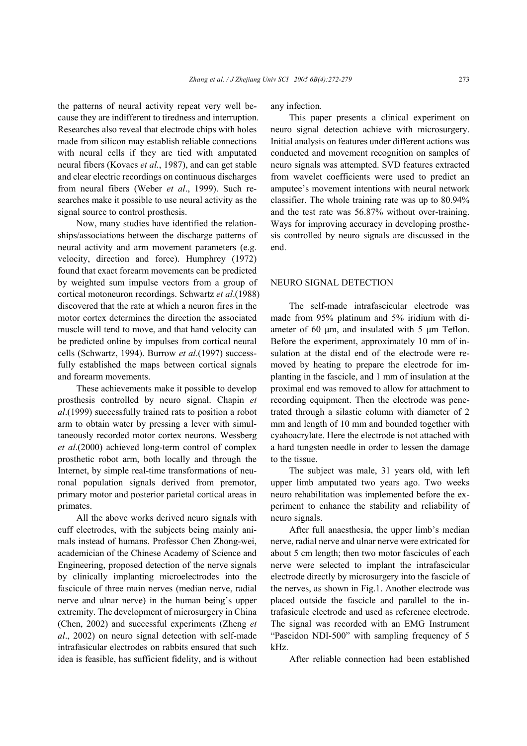the patterns of neural activity repeat very well because they are indifferent to tiredness and interruption. Researches also reveal that electrode chips with holes made from silicon may establish reliable connections with neural cells if they are tied with amputated neural fibers (Kovacs *et al.*, 1987), and can get stable and clear electric recordings on continuous discharges from neural fibers (Weber *et al*., 1999). Such researches make it possible to use neural activity as the signal source to control prosthesis.

Now, many studies have identified the relationships/associations between the discharge patterns of neural activity and arm movement parameters (e.g. velocity, direction and force). Humphrey (1972) found that exact forearm movements can be predicted by weighted sum impulse vectors from a group of cortical motoneuron recordings. Schwartz *et al*.(1988) discovered that the rate at which a neuron fires in the motor cortex determines the direction the associated muscle will tend to move, and that hand velocity can be predicted online by impulses from cortical neural cells (Schwartz, 1994). Burrow *et al*.(1997) successfully established the maps between cortical signals and forearm movements.

These achievements make it possible to develop prosthesis controlled by neuro signal. Chapin *et al*.(1999) successfully trained rats to position a robot arm to obtain water by pressing a lever with simultaneously recorded motor cortex neurons. Wessberg *et al*.(2000) achieved long-term control of complex prosthetic robot arm, both locally and through the Internet, by simple real-time transformations of neuronal population signals derived from premotor, primary motor and posterior parietal cortical areas in primates.

All the above works derived neuro signals with cuff electrodes, with the subjects being mainly animals instead of humans. Professor Chen Zhong-wei, academician of the Chinese Academy of Science and Engineering, proposed detection of the nerve signals by clinically implanting microelectrodes into the fascicule of three main nerves (median nerve, radial nerve and ulnar nerve) in the human being's upper extremity. The development of microsurgery in China (Chen, 2002) and successful experiments (Zheng *et al*., 2002) on neuro signal detection with self-made intrafasicular electrodes on rabbits ensured that such idea is feasible, has sufficient fidelity, and is without any infection.

This paper presents a clinical experiment on neuro signal detection achieve with microsurgery. Initial analysis on features under different actions was conducted and movement recognition on samples of neuro signals was attempted. SVD features extracted from wavelet coefficients were used to predict an amputee's movement intentions with neural network classifier. The whole training rate was up to 80.94% and the test rate was 56.87% without over-training. Ways for improving accuracy in developing prosthesis controlled by neuro signals are discussed in the end.

#### NEURO SIGNAL DETECTION

The self-made intrafascicular electrode was made from 95% platinum and 5% iridium with diameter of 60  $\mu$ m, and insulated with 5  $\mu$ m Teflon. Before the experiment, approximately 10 mm of insulation at the distal end of the electrode were removed by heating to prepare the electrode for implanting in the fascicle, and 1 mm of insulation at the proximal end was removed to allow for attachment to recording equipment. Then the electrode was penetrated through a silastic column with diameter of 2 mm and length of 10 mm and bounded together with cyahoacrylate. Here the electrode is not attached with a hard tungsten needle in order to lessen the damage to the tissue.

The subject was male, 31 years old, with left upper limb amputated two years ago. Two weeks neuro rehabilitation was implemented before the experiment to enhance the stability and reliability of neuro signals.

After full anaesthesia, the upper limb's median nerve, radial nerve and ulnar nerve were extricated for about 5 cm length; then two motor fascicules of each nerve were selected to implant the intrafascicular electrode directly by microsurgery into the fascicle of the nerves, as shown in Fig.1. Another electrode was placed outside the fascicle and parallel to the intrafasicule electrode and used as reference electrode. The signal was recorded with an EMG Instrument "Paseidon NDI-500" with sampling frequency of 5 kHz.

After reliable connection had been established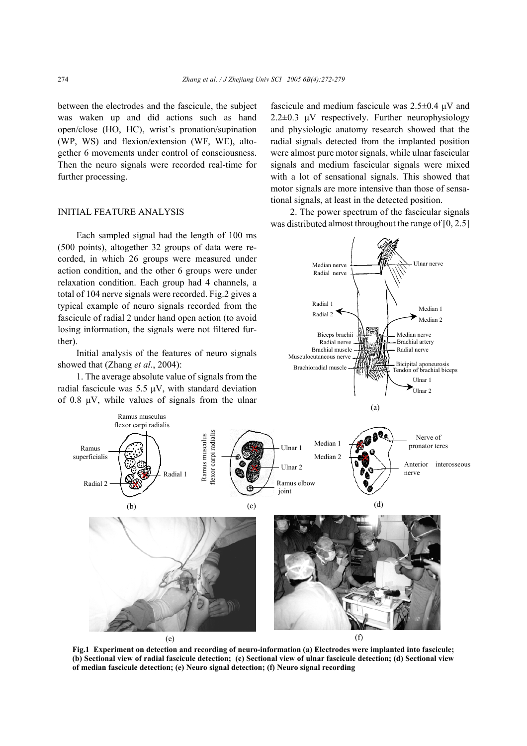between the electrodes and the fascicule, the subject was waken up and did actions such as hand open/close (HO, HC), wrist's pronation/supination (WP, WS) and flexion/extension (WF, WE), altogether 6 movements under control of consciousness. Then the neuro signals were recorded real-time for further processing.

## INITIAL FEATURE ANALYSIS

Each sampled signal had the length of 100 ms (500 points), altogether 32 groups of data were recorded, in which 26 groups were measured under action condition, and the other 6 groups were under relaxation condition. Each group had 4 channels, a total of 104 nerve signals were recorded. Fig.2 gives a typical example of neuro signals recorded from the fascicule of radial 2 under hand open action (to avoid losing information, the signals were not filtered further).

showed that (Zhang *et al*., 2004):

1. The average absolute value of signals from the radial fascicule was  $5.5 \mu V$ , with standard deviation of 0.8  $\mu$ V, while values of signals from the ulnar fascicule and medium fascicule was  $2.5\pm0.4$   $\mu$ V and  $2.2\pm0.3$  µV respectively. Further neurophysiology and physiologic anatomy research showed that the radial signals detected from the implanted position were almost pure motor signals, while ulnar fascicular signals and medium fascicular signals were mixed with a lot of sensational signals. This showed that motor signals are more intensive than those of sensational signals, at least in the detected position.

2. The power spectrum of the fascicular signals was distributed almost throughout the range of [0, 2.5]



**Fig.1 Experiment on detection and recording of neuro-information (a) Electrodes were implanted into fascicule; (b) Sectional view of radial fascicule detection; (c) Sectional view of ulnar fascicule detection; (d) Sectional view of median fascicule detection; (e) Neuro signal detection; (f) Neuro signal recording**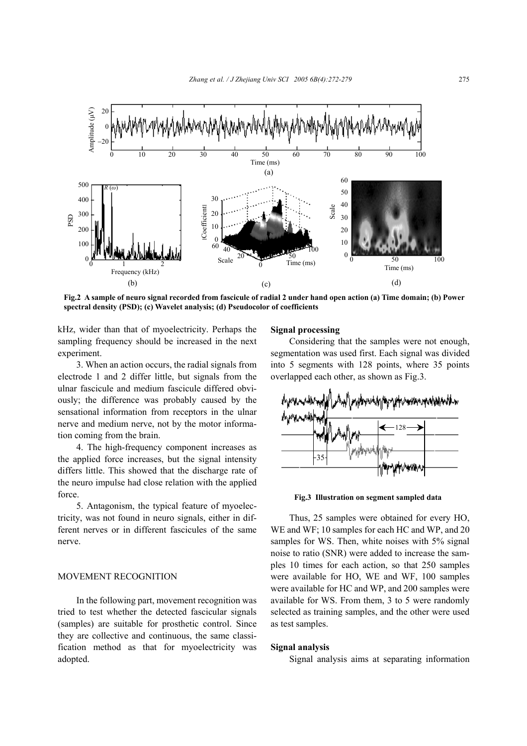

**Fig.2 A sample of neuro signal recorded from fascicule of radial 2 under hand open action (a) Time domain; (b) Power spectral density (PSD); (c) Wavelet analysis; (d) Pseudocolor of coefficients** 

kHz, wider than that of myoelectricity. Perhaps the sampling frequency should be increased in the next experiment.

3. When an action occurs, the radial signals from electrode 1 and 2 differ little, but signals from the ulnar fascicule and medium fascicule differed obviously; the difference was probably caused by the sensational information from receptors in the ulnar nerve and medium nerve, not by the motor information coming from the brain.

4. The high-frequency component increases as the applied force increases, but the signal intensity differs little. This showed that the discharge rate of the neuro impulse had close relation with the applied force.

5. Antagonism, the typical feature of myoelectricity, was not found in neuro signals, either in different nerves or in different fascicules of the same nerve.

#### MOVEMENT RECOGNITION

In the following part, movement recognition was tried to test whether the detected fascicular signals (samples) are suitable for prosthetic control. Since they are collective and continuous, the same classification method as that for myoelectricity was adopted.

#### **Signal processing**

Considering that the samples were not enough, segmentation was used first. Each signal was divided into 5 segments with 128 points, where 35 points overlapped each other, as shown as Fig.3.



**Fig.3 Illustration on segment sampled data** 

Thus, 25 samples were obtained for every HO, WE and WF; 10 samples for each HC and WP, and 20 samples for WS. Then, white noises with 5% signal noise to ratio (SNR) were added to increase the samples 10 times for each action, so that 250 samples were available for HO, WE and WF, 100 samples were available for HC and WP, and 200 samples were available for WS. From them, 3 to 5 were randomly selected as training samples, and the other were used as test samples.

#### **Signal analysis**

Signal analysis aims at separating information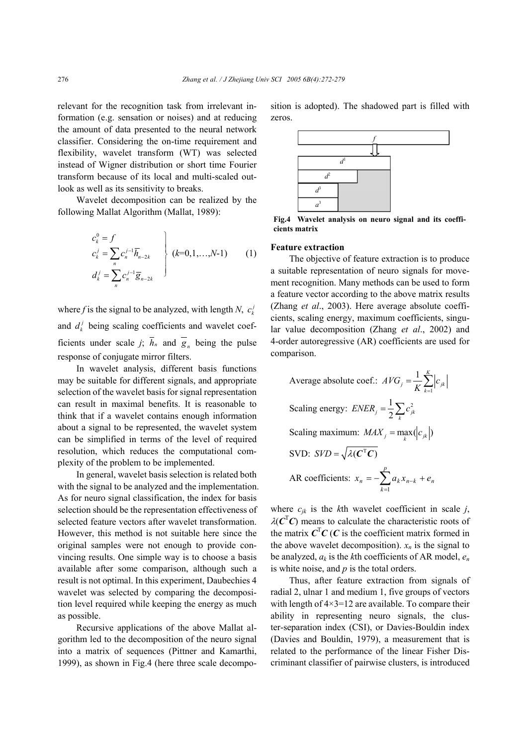relevant for the recognition task from irrelevant information (e.g. sensation or noises) and at reducing the amount of data presented to the neural network classifier. Considering the on-time requirement and flexibility, wavelet transform (WT) was selected instead of Wigner distribution or short time Fourier transform because of its local and multi-scaled outlook as well as its sensitivity to breaks.

Wavelet decomposition can be realized by the following Mallat Algorithm (Mallat, 1989):

$$
c_k^0 = f
$$
  
\n
$$
c_k^j = \sum_n c_n^{j-1} \overline{h}_{n-2k}
$$
  
\n
$$
d_k^j = \sum_n c_n^{j-1} \overline{g}_{n-2k}
$$
  
\n
$$
\left\{\n \begin{array}{l}\n (k=0,1,\ldots,N-1) \\
(k=0,1,\ldots,N-1)\n \end{array}\n \right.\n \tag{1}
$$

where *f* is the signal to be analyzed, with length *N*,  $c_k$ and  $d_k^j$  being scaling coefficients and wavelet coefficients under scale *j*;  $\overline{h}_n$  and  $\overline{g}_n$  being the pulse response of conjugate mirror filters.

In wavelet analysis, different basis functions may be suitable for different signals, and appropriate selection of the wavelet basis for signal representation can result in maximal benefits. It is reasonable to think that if a wavelet contains enough information about a signal to be represented, the wavelet system can be simplified in terms of the level of required resolution, which reduces the computational complexity of the problem to be implemented.

In general, wavelet basis selection is related both with the signal to be analyzed and the implementation. As for neuro signal classification, the index for basis selection should be the representation effectiveness of selected feature vectors after wavelet transformation. However, this method is not suitable here since the original samples were not enough to provide convincing results. One simple way is to choose a basis available after some comparison, although such a result is not optimal. In this experiment, Daubechies 4 wavelet was selected by comparing the decomposition level required while keeping the energy as much as possible.

Recursive applications of the above Mallat algorithm led to the decomposition of the neuro signal into a matrix of sequences (Pittner and Kamarthi, 1999), as shown in Fig.4 (here three scale decomposition is adopted). The shadowed part is filled with zeros.



**Fig.4 Wavelet analysis on neuro signal and its coefficients matrix** 

### **Feature extraction**

The objective of feature extraction is to produce a suitable representation of neuro signals for movement recognition. Many methods can be used to form a feature vector according to the above matrix results (Zhang *et al*., 2003). Here average absolute coefficients, scaling energy, maximum coefficients, singular value decomposition (Zhang *et al*., 2002) and 4-order autoregressive (AR) coefficients are used for comparison.

Average absolute coef.: 
$$
AVG_j = \frac{1}{K} \sum_{k=1}^{K} |c_{jk}|
$$
  
Scaling energy:  $ENER_j = \frac{1}{2} \sum_{k} c_{jk}^2$   
Scaling maximum:  $MAX_j = \max_k (|c_{jk}|)$   
SVD:  $SVD = \sqrt{\lambda(C^T C)}$   
AR coefficients:  $x_n = -\sum_{k=1}^{P} a_k x_{n-k} + e_n$ 

where  $c_{jk}$  is the *k*th wavelet coefficient in scale *j*,  $\lambda(C^{\mathsf{T}}C)$  means to calculate the characteristic roots of the matrix  $\mathbf{C}^{\mathrm{T}}\mathbf{C}(\mathbf{C})$  is the coefficient matrix formed in the above wavelet decomposition).  $x_n$  is the signal to be analyzed, *ak* is the *k*th coefficients of AR model, *en* is white noise, and *p* is the total orders.

Thus, after feature extraction from signals of radial 2, ulnar 1 and medium 1, five groups of vectors with length of  $4 \times 3 = 12$  are available. To compare their ability in representing neuro signals, the cluster-separation index (CSI), or Davies-Bouldin index (Davies and Bouldin, 1979), a measurement that is related to the performance of the linear Fisher Discriminant classifier of pairwise clusters, is introduced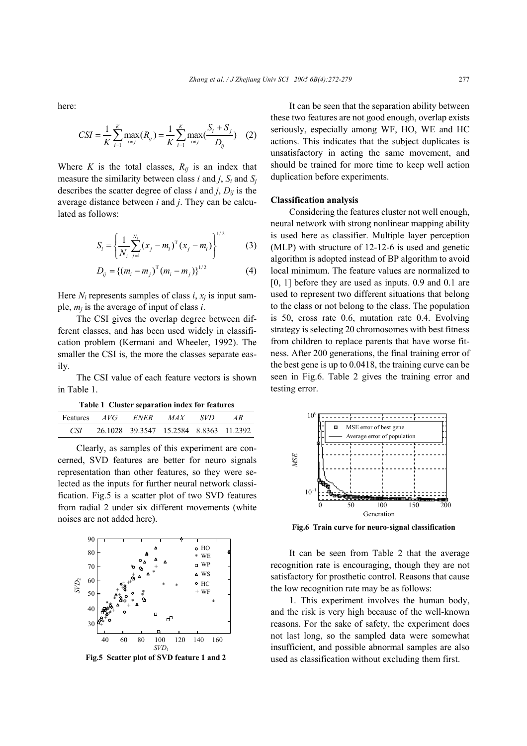here:

$$
CSI = \frac{1}{K} \sum_{i=1}^{K} \max_{i \neq j} (R_{ij}) = \frac{1}{K} \sum_{i=1}^{K} \max_{i \neq j} (\frac{S_i + S_j}{D_{ij}})
$$
 (2)

Where *K* is the total classes,  $R_{ij}$  is an index that measure the similarity between class *i* and *j*,  $S_i$  and  $S_j$ describes the scatter degree of class  $i$  and  $j$ ,  $D_{ij}$  is the average distance between *i* and *j*. They can be calculated as follows:

$$
S_i = \left\{ \frac{1}{N_i} \sum_{j=1}^{N_i} (x_j - m_i)^{\mathrm{T}} (x_j - m_i) \right\}^{1/2}
$$
 (3)

$$
D_{ij} = \{ (m_i - m_j)^T (m_i - m_j) \}^{1/2}
$$
 (4)

Here  $N_i$  represents samples of class  $i$ ,  $x_i$  is input sample, *mj* is the average of input of class *i*.

The CSI gives the overlap degree between different classes, and has been used widely in classification problem (Kermani and Wheeler, 1992). The smaller the CSI is, the more the classes separate easily.

The CSI value of each feature vectors is shown in Table 1.

**Table 1 Cluster separation index for features** 

| Features <i>AVG</i> | ENER                                   | MAX <sup>1</sup> | – SVD – |  |
|---------------------|----------------------------------------|------------------|---------|--|
| CSL -               | 26.1028 39.3547 15.2584 8.8363 11.2392 |                  |         |  |

Clearly, as samples of this experiment are concerned, SVD features are better for neuro signals representation than other features, so they were selected as the inputs for further neural network classification. Fig.5 is a scatter plot of two SVD features from radial 2 under six different movements (white noises are not added here).



**Fig.5 Scatter plot of SVD feature 1 and 2** 

It can be seen that the separation ability between these two features are not good enough, overlap exists seriously, especially among WF, HO, WE and HC actions. This indicates that the subject duplicates is unsatisfactory in acting the same movement, and should be trained for more time to keep well action duplication before experiments.

#### **Classification analysis**

Considering the features cluster not well enough, neural network with strong nonlinear mapping ability is used here as classifier. Multiple layer perception (MLP) with structure of 12-12-6 is used and genetic algorithm is adopted instead of BP algorithm to avoid local minimum. The feature values are normalized to [0, 1] before they are used as inputs. 0.9 and 0.1 are used to represent two different situations that belong to the class or not belong to the class. The population is 50, cross rate 0.6, mutation rate 0.4. Evolving strategy is selecting 20 chromosomes with best fitness from children to replace parents that have worse fitness. After 200 generations, the final training error of the best gene is up to 0.0418, the training curve can be seen in Fig.6. Table 2 gives the training error and testing error.



**Fig.6 Train curve for neuro-signal classification**

It can be seen from Table 2 that the average recognition rate is encouraging, though they are not satisfactory for prosthetic control. Reasons that cause the low recognition rate may be as follows:

1. This experiment involves the human body, and the risk is very high because of the well-known reasons. For the sake of safety, the experiment does not last long, so the sampled data were somewhat insufficient, and possible abnormal samples are also used as classification without excluding them first.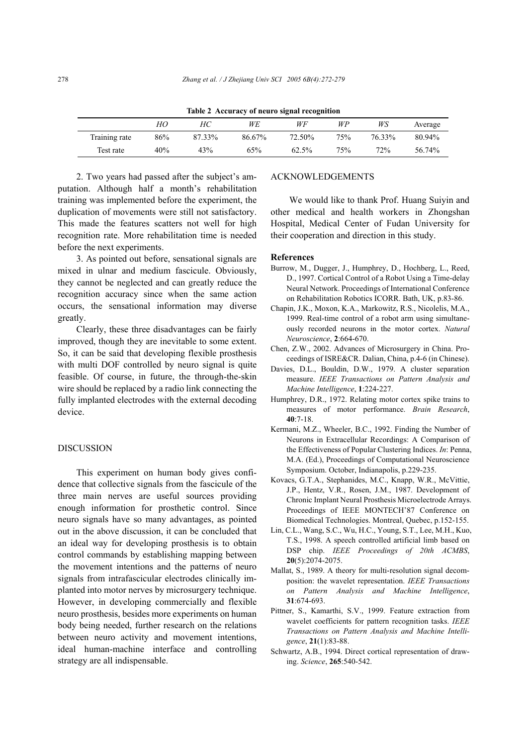|               |     |        |        | ້<br>. |     |        |         |
|---------------|-----|--------|--------|--------|-----|--------|---------|
|               | HО  | HС     | WE     | WF     | WP  | WS     | Average |
| Training rate | 86% | 87.33% | 86.67% | 72.50% | 75% | 76.33% | 80.94%  |
| Test rate     | 40% | 43%    | 65%    | 62.5%  | 75% | 72%    | 56.74%  |

**Table 2 Accuracy of neuro signal recognition** 

2. Two years had passed after the subject's amputation. Although half a month's rehabilitation training was implemented before the experiment, the duplication of movements were still not satisfactory. This made the features scatters not well for high recognition rate. More rehabilitation time is needed before the next experiments.

3. As pointed out before, sensational signals are mixed in ulnar and medium fascicule. Obviously, they cannot be neglected and can greatly reduce the recognition accuracy since when the same action occurs, the sensational information may diverse greatly.

Clearly, these three disadvantages can be fairly improved, though they are inevitable to some extent. So, it can be said that developing flexible prosthesis with multi DOF controlled by neuro signal is quite feasible. Of course, in future, the through-the-skin wire should be replaced by a radio link connecting the fully implanted electrodes with the external decoding device.

#### DISCUSSION

This experiment on human body gives confidence that collective signals from the fascicule of the three main nerves are useful sources providing enough information for prosthetic control. Since neuro signals have so many advantages, as pointed out in the above discussion, it can be concluded that an ideal way for developing prosthesis is to obtain control commands by establishing mapping between the movement intentions and the patterns of neuro signals from intrafascicular electrodes clinically implanted into motor nerves by microsurgery technique. However, in developing commercially and flexible neuro prosthesis, besides more experiments on human body being needed, further research on the relations between neuro activity and movement intentions, ideal human-machine interface and controlling strategy are all indispensable.

### ACKNOWLEDGEMENTS

We would like to thank Prof. Huang Suiyin and other medical and health workers in Zhongshan Hospital, Medical Center of Fudan University for their cooperation and direction in this study.

#### **References**

- Burrow, M., Dugger, J., Humphrey, D., Hochberg, L., Reed, D., 1997. Cortical Control of a Robot Using a Time-delay Neural Network. Proceedings of International Conference on Rehabilitation Robotics ICORR. Bath, UK, p.83-86.
- Chapin, J.K., Moxon, K.A., Markowitz, R.S., Nicolelis, M.A., 1999. Real-time control of a robot arm using simultaneously recorded neurons in the motor cortex. *Natural Neuroscience*, **2**:664-670.
- Chen, Z.W., 2002. Advances of Microsurgery in China. Proceedings of ISRE&CR. Dalian, China, p.4-6 (in Chinese).
- Davies, D.L., Bouldin, D.W., 1979. A cluster separation measure. *IEEE Transactions on Pattern Analysis and Machine Intelligence*, **1**:224-227.
- Humphrey, D.R., 1972. Relating motor cortex spike trains to measures of motor performance. *Brain Research*, **40**:7-18.
- Kermani, M.Z., Wheeler, B.C., 1992. Finding the Number of Neurons in Extracellular Recordings: A Comparison of the Effectiveness of Popular Clustering Indices. *In*: Penna, M.A. (Ed.), Proceedings of Computational Neuroscience Symposium. October, Indianapolis, p.229-235.
- Kovacs, G.T.A., Stephanides, M.C., Knapp, W.R., McVittie, J.P., Hentz, V.R., Rosen, J.M., 1987. Development of Chronic Implant Neural Prosthesis Microelectrode Arrays. Proceedings of IEEE MONTECH'87 Conference on Biomedical Technologies. Montreal, Quebec, p.152-155.
- Lin, C.L., Wang, S.C., Wu, H.C., Young, S.T., Lee, M.H., Kuo, T.S., 1998. A speech controlled artificial limb based on DSP chip. *IEEE Proceedings of 20th ACMBS*, **20**(5):2074-2075.
- Mallat, S., 1989. A theory for multi-resolution signal decomposition: the wavelet representation. *IEEE Transactions on Pattern Analysis and Machine Intelligence*, **31**:674-693.
- Pittner, S., Kamarthi, S.V., 1999. Feature extraction from wavelet coefficients for pattern recognition tasks. *IEEE Transactions on Pattern Analysis and Machine Intelligence*, **21**(1):83-88.
- Schwartz, A.B., 1994. Direct cortical representation of drawing. *Science*, **265**:540-542.